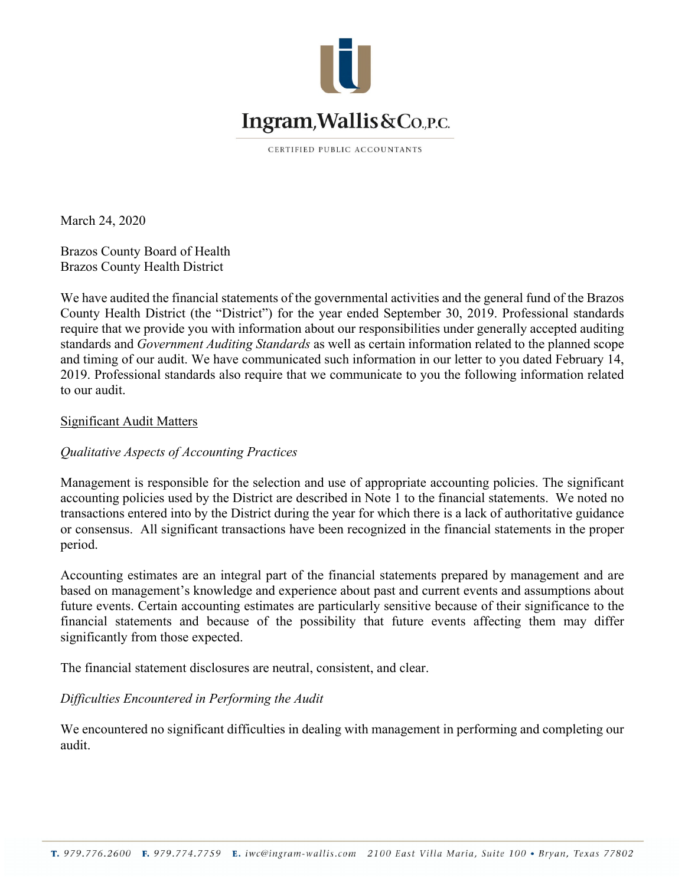

CERTIFIED PUBLIC ACCOUNTANTS

March 24, 2020

Brazos County Board of Health Brazos County Health District

We have audited the financial statements of the governmental activities and the general fund of the Brazos County Health District (the "District") for the year ended September 30, 2019. Professional standards require that we provide you with information about our responsibilities under generally accepted auditing standards and *Government Auditing Standards* as well as certain information related to the planned scope and timing of our audit. We have communicated such information in our letter to you dated February 14, 2019. Professional standards also require that we communicate to you the following information related to our audit.

### Significant Audit Matters

# *Qualitative Aspects of Accounting Practices*

Management is responsible for the selection and use of appropriate accounting policies. The significant accounting policies used by the District are described in Note 1 to the financial statements. We noted no transactions entered into by the District during the year for which there is a lack of authoritative guidance or consensus. All significant transactions have been recognized in the financial statements in the proper period.

Accounting estimates are an integral part of the financial statements prepared by management and are based on management's knowledge and experience about past and current events and assumptions about future events. Certain accounting estimates are particularly sensitive because of their significance to the financial statements and because of the possibility that future events affecting them may differ significantly from those expected.

The financial statement disclosures are neutral, consistent, and clear.

# *Difficulties Encountered in Performing the Audit*

We encountered no significant difficulties in dealing with management in performing and completing our audit.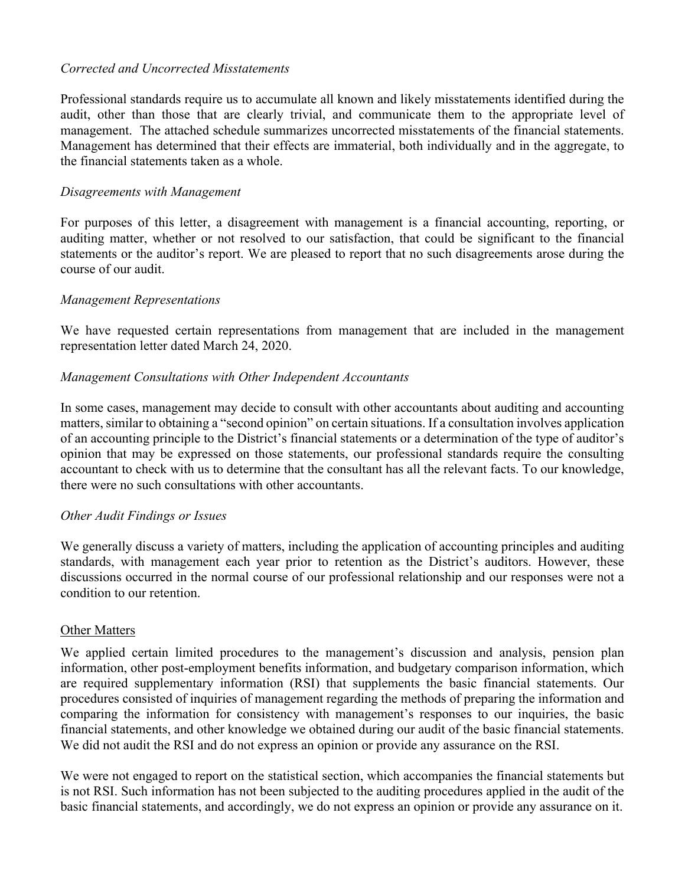# *Corrected and Uncorrected Misstatements*

Professional standards require us to accumulate all known and likely misstatements identified during the audit, other than those that are clearly trivial, and communicate them to the appropriate level of management. The attached schedule summarizes uncorrected misstatements of the financial statements. Management has determined that their effects are immaterial, both individually and in the aggregate, to the financial statements taken as a whole.

### *Disagreements with Management*

For purposes of this letter, a disagreement with management is a financial accounting, reporting, or auditing matter, whether or not resolved to our satisfaction, that could be significant to the financial statements or the auditor's report. We are pleased to report that no such disagreements arose during the course of our audit.

### *Management Representations*

We have requested certain representations from management that are included in the management representation letter dated March 24, 2020.

### *Management Consultations with Other Independent Accountants*

In some cases, management may decide to consult with other accountants about auditing and accounting matters, similar to obtaining a "second opinion" on certain situations. If a consultation involves application of an accounting principle to the District's financial statements or a determination of the type of auditor's opinion that may be expressed on those statements, our professional standards require the consulting accountant to check with us to determine that the consultant has all the relevant facts. To our knowledge, there were no such consultations with other accountants.

# *Other Audit Findings or Issues*

We generally discuss a variety of matters, including the application of accounting principles and auditing standards, with management each year prior to retention as the District's auditors. However, these discussions occurred in the normal course of our professional relationship and our responses were not a condition to our retention.

#### Other Matters

We applied certain limited procedures to the management's discussion and analysis, pension plan information, other post-employment benefits information, and budgetary comparison information, which are required supplementary information (RSI) that supplements the basic financial statements. Our procedures consisted of inquiries of management regarding the methods of preparing the information and comparing the information for consistency with management's responses to our inquiries, the basic financial statements, and other knowledge we obtained during our audit of the basic financial statements. We did not audit the RSI and do not express an opinion or provide any assurance on the RSI.

We were not engaged to report on the statistical section, which accompanies the financial statements but is not RSI. Such information has not been subjected to the auditing procedures applied in the audit of the basic financial statements, and accordingly, we do not express an opinion or provide any assurance on it.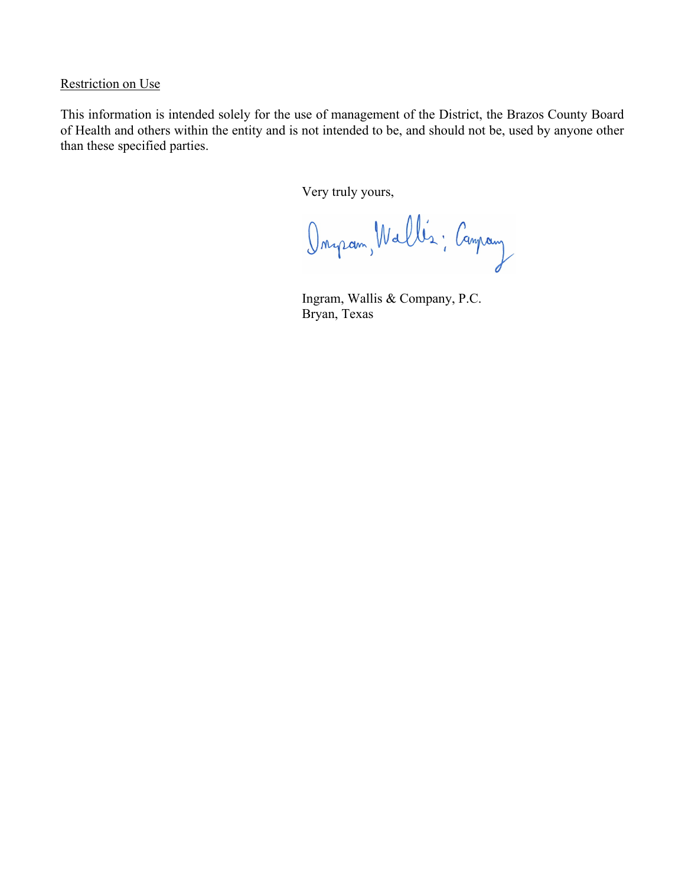# Restriction on Use

This information is intended solely for the use of management of the District, the Brazos County Board of Health and others within the entity and is not intended to be, and should not be, used by anyone other than these specified parties.

Very truly yours,

Onyram, Wallis; Canpany

Ingram, Wallis & Company, P.C. Bryan, Texas